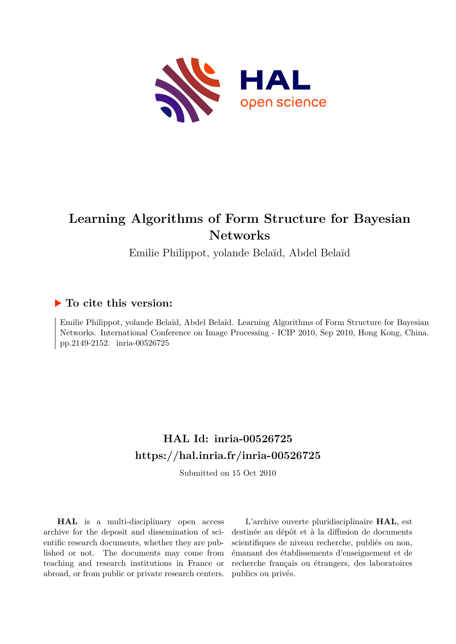

# **Learning Algorithms of Form Structure for Bayesian Networks**

Emilie Philippot, yolande Belaïd, Abdel Belaïd

### **To cite this version:**

Emilie Philippot, yolande Belaïd, Abdel Belaïd. Learning Algorithms of Form Structure for Bayesian Networks. International Conference on Image Processing - ICIP 2010, Sep 2010, Hong Kong, China. pp.2149-2152. inria-00526725

## **HAL Id: inria-00526725 <https://hal.inria.fr/inria-00526725>**

Submitted on 15 Oct 2010

**HAL** is a multi-disciplinary open access archive for the deposit and dissemination of scientific research documents, whether they are published or not. The documents may come from teaching and research institutions in France or abroad, or from public or private research centers.

L'archive ouverte pluridisciplinaire **HAL**, est destinée au dépôt et à la diffusion de documents scientifiques de niveau recherche, publiés ou non, émanant des établissements d'enseignement et de recherche français ou étrangers, des laboratoires publics ou privés.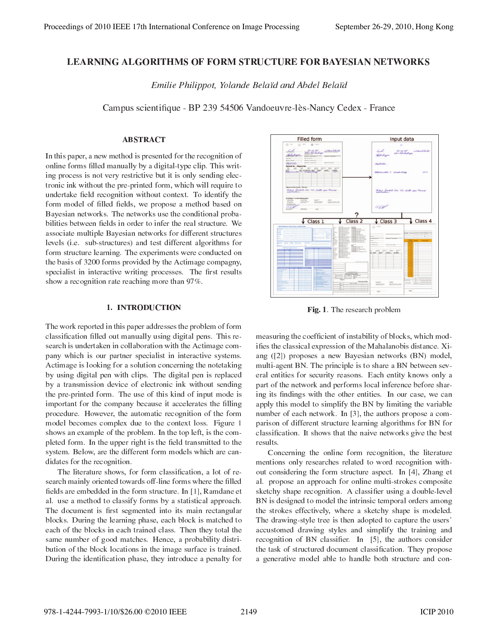#### **LEARNING ALGORITHMS OF FORM STRUCTURE FOR BAYESIAN NETWORKS**

Emilie Philippot, Yolande Belaïd and Abdel Belaïd

Campus scientifique - BP 239 54506 Vandoeuvre-lès-Nancy Cedex - France

#### **ABSTRACT**

In this paper, a new method is presented for the recognition of online forms filled manually by a digital-type clip. This writing process is not very restrictive but it is only sending electronic ink without the pre-printed form, which will require to undertake field recognition without context. To identify the form model of filled fields, we propose a method based on Bayesian networks. The networks use the conditional probabilities between fields in order to infer the real structure. We associate multiple Bayesian networks for different structures levels (i.e. sub-structures) and test different algorithms for form structure learning. The experiments were conducted on the basis of 3200 forms provided by the Actimage compagny, specialist in interactive writing processes. The first results show a recognition rate reaching more than 97%.

#### 1. INTRODUCTION

The work reported in this paper addresses the problem of form classification filled out manually using digital pens. This research is undertaken in collaboration with the Actimage company which is our partner specialist in interactive systems. Actimage is looking for a solution concerning the notetaking by using digital pen with clips. The digital pen is replaced by a transmission device of electronic ink without sending the pre-printed form. The use of this kind of input mode is important for the company because it accelerates the filling procedure. However, the automatic recognition of the form model becomes complex due to the context loss. Figure 1 shows an example of the problem. In the top left, is the completed form. In the upper right is the field transmitted to the system. Below, are the different form models which are candidates for the recognition.

The literature shows, for form classification, a lot of research mainly oriented towards off-line forms where the filled fields are embedded in the form structure. In [1], Ramdane et al. use a method to classify forms by a statistical approach. The document is first segmented into its main rectangular blocks. During the learning phase, each block is matched to each of the blocks in each trained class. Then they total the same number of good matches. Hence, a probability distribution of the block locations in the image surface is trained. During the identification phase, they introduce a penalty for



Fig. 1. The research problem

measuring the coefficient of instability of blocks, which modifies the classical expression of the Mahalanobis distance. Xiang  $(2)$  proposes a new Bayesian networks  $(BN)$  model, multi-agent BN. The principle is to share a BN between several entities for security reasons. Each entity knows only a part of the network and performs local inference before sharing its findings with the other entities. In our case, we can apply this model to simplify the BN by limiting the variable number of each network. In [3], the authors propose a comparison of different structure learning algorithms for BN for classification. It shows that the naive networks give the best results.

Concerning the online form recognition, the literature mentions only researches related to word recognition without considering the form structure aspect. In [4], Zhang et al. propose an approach for online multi-strokes composite sketchy shape recognition. A classifier using a double-level BN is designed to model the intrinsic temporal orders among the strokes effectively, where a sketchy shape is modeled. The drawing-style tree is then adopted to capture the users' accustomed drawing styles and simplify the training and recognition of BN classifier. In [5], the authors consider the task of structured document classification. They propose a generative model able to handle both structure and con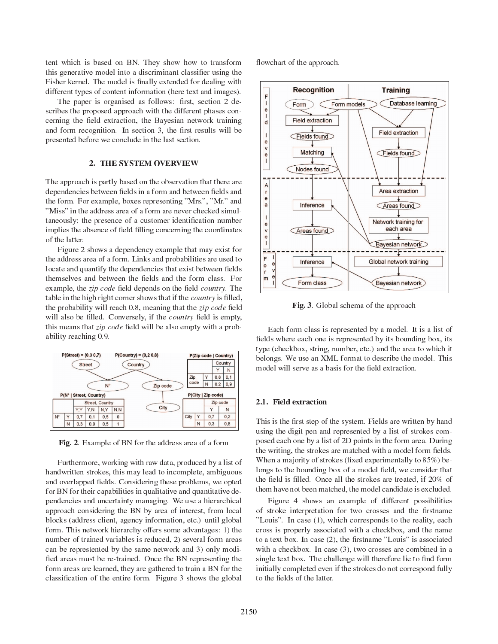tent which is based on BN. They show how to transform this generative model into a discriminant classifier using the Fisher kernel. The model is finally extended for dealing with different types of content information (here text and images).

The paper is organised as follows: first, section 2 describes the proposed approach with the different phases concerning the field extraction, the Bayesian network training and form recognition. In section 3, the first results will be presented before we conclude in the last section.

#### 2. THE SYSTEM OVERVIEW

The approach is partly based on the observation that there are dependencies between fields in a form and between fields and the form. For example, boxes representing "Mrs.", "Mr." and "Miss" in the address area of a form are never checked simultaneously; the presence of a customer identification number implies the absence of field filling concerning the coordinates of the latter.

Figure 2 shows a dependency example that may exist for the address area of a form. Links and probabilities are used to locate and quantify the dependencies that exist between fields themselves and between the fields and the form class. For example, the *zip code* field depends on the field *country*. The table in the high right corner shows that if the *country* is filled, the probability will reach 0.8, meaning that the *zip code* field will also be filled. Conversely, if the *country* field is empty, this means that zip code field will be also empty with a probability reaching 0.9.



Fig. 2. Example of BN for the address area of a form

Furthermore, working with raw data, produced by a list of handwritten strokes, this may lead to incomplete, ambiguous and overlapped fields. Considering these problems, we opted for BN for their capabilities in qualitative and quantitative dependencies and uncertainty managing. We use a hierarchical approach considering the BN by area of interest, from local blocks (address client, agency information, etc.) until global form. This network hierarchy offers some advantages: 1) the number of trained variables is reduced, 2) several form areas can be represtented by the same network and 3) only modified areas must be re-trained. Once the BN representing the form areas are learned, they are gathered to train a BN for the classification of the entire form. Figure 3 shows the global flowchart of the approach.



Fig. 3. Global schema of the approach

Each form class is represented by a model. It is a list of fields where each one is represented by its bounding box, its type (checkbox, string, number, etc.) and the area to which it belongs. We use an XML format to describe the model. This model will serve as a basis for the field extraction.

#### 2.1. Field extraction

This is the first step of the system. Fields are written by hand using the digit pen and represented by a list of strokes composed each one by a list of 2D points in the form area. During the writing, the strokes are matched with a model form fields. When a majority of strokes (fixed experimentally to 85%) belongs to the bounding box of a model field, we consider that the field is filled. Once all the strokes are treated, if 20% of them have not been matched, the model candidate is excluded.

Figure 4 shows an example of different possibilities of stroke interpretation for two crosses and the firstname "Louis". In case (1), which corresponds to the reality, each cross is properly associated with a checkbox, and the name to a text box. In case (2), the firstname "Louis" is associated with a checkbox. In case (3), two crosses are combined in a single text box. The challenge will therefore lie to find form initially completed even if the strokes do not correspond fully to the fields of the latter.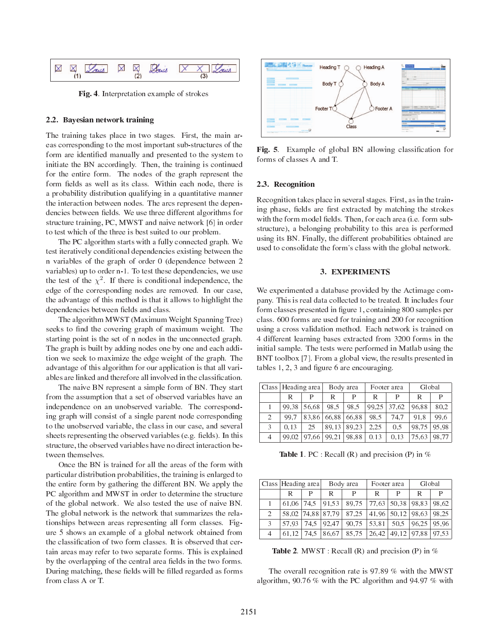

Fig. 4. Interpretation example of strokes

#### 2.2. Bayesian network training

The training takes place in two stages. First, the main areas corresponding to the most important sub-structures of the form are identified manually and presented to the system to initiate the BN accordingly. Then, the training is continued for the entire form. The nodes of the graph represent the form fields as well as its class. Within each node, there is a probability distribution qualifying in a quantitative manner the interaction between nodes. The arcs represent the dependencies between fields. We use three different algorithms for structure training, PC, MWST and naive network [6] in order to test which of the three is best suited to our problem.

The PC algorithm starts with a fully connected graph. We test iteratively conditional dependencies existing between the n variables of the graph of order 0 (dependence between 2 variables) up to order n-1. To test these dependencies, we use the test of the  $\chi^2$ . If there is conditional independence, the edge of the corresponding nodes are removed. In our case, the advantage of this method is that it allows to highlight the dependencies between fields and class.

The algorithm MWST (Maximum Weight Spanning Tree) seeks to find the covering graph of maximum weight. The starting point is the set of n nodes in the unconnected graph. The graph is built by adding nodes one by one and each addition we seek to maximize the edge weight of the graph. The advantage of this algorithm for our application is that all variables are linked and therefore all involved in the classification.

The naive BN represent a simple form of BN. They start from the assumption that a set of observed variables have an independence on an unobserved variable. The corresponding graph will consist of a single parent node corresponding to the unobserved variable, the class in our case, and several sheets representing the observed variables (e.g. fields). In this structure, the observed variables have no direct interaction between themselves.

Once the BN is trained for all the areas of the form with particular distribution probabilities, the training is enlarged to the entire form by gathering the different BN. We apply the PC algorithm and MWST in order to determine the structure of the global network. We also tested the use of naive BN. The global network is the network that summarizes the relationships between areas representing all form classes. Figure 5 shows an example of a global network obtained from the classification of two form classes. It is observed that certain areas may refer to two separate forms. This is explained by the overlapping of the central area fields in the two forms. During matching, these fields will be filled regarded as forms from class A or T.



**Fig. 5** Example of global BN allowing classification for forms of classes A and T.

#### 2.3. Recognition

Recognition takes place in several stages. First, as in the training phase, fields are first extracted by matching the strokes with the form model fields. Then, for each area (i.e. form substructure), a belonging probability to this area is performed using its BN. Finally, the different probabilities obtained are used to consolidate the form's class with the global network.

#### **3. EXPERIMENTS**

We experimented a database provided by the Actimage company. This is real data collected to be treated. It includes four form classes presented in figure 1, containing 800 samples per class. 600 forms are used for training and 200 for recognition using a cross validation method. Each network is trained on 4 different learning bases extracted from 3200 forms in the initial sample. The tests were performed in Matlab using the BNT toolbox [7]. From a global view, the results presented in tables  $1, 2, 3$  and figure 6 are encouraging.

|   | Class   Heading area |       | Body area   |             | Footer area |               | Global |       |
|---|----------------------|-------|-------------|-------------|-------------|---------------|--------|-------|
|   | R                    | Р     | R           | P           | R           |               | R      | P     |
|   | 99.38                | 56.68 | 98.5        | 98.5        |             | $99.25$ 37.62 | 96.88  | 80.2  |
| 2 | 99.7                 |       | 83.86 66.88 | 66.88       | 98.5        | 74.7          | 91.8   | 99.6  |
| 3 | 0.13                 | 25    |             | 89.13 89.23 | 2.25        | 0.5           | 98.75  | 95.98 |
| 4 | 99.02                | 97.66 | 99,21       | 98.88       | 0.13        | 0.13          | 75.63  | 98.77 |

**Table 1.** PC : Recall (R) and precision (P) in  $%$ 

|   | Class  Heading area |      | Body area         |       | Footer area |       | Global                  |               |
|---|---------------------|------|-------------------|-------|-------------|-------|-------------------------|---------------|
|   | R                   | Р    | R                 | P     | R           | Р     | R                       | P             |
|   | 61.06               | 74.5 | 91.53             | 89,75 | 77.63       |       | $50,38$   98,83   98,62 |               |
| 2 |                     |      | 58.02 74.88 87.79 | 87.25 | 41,96       |       | $50.12$   98.63   98.25 |               |
| 3 | 57.93               | 74.5 | 92.47             | 90.75 | 53.81       | 50.5  |                         | 96.25   95.96 |
| 4 | 61.12               | 74.5 | 86.67             | 85.75 | 26,42       | 49,12 | 97.88                   | 97.53         |

**Table 2.** MWST: Recall (R) and precision (P) in  $%$ 

The overall recognition rate is 97.89 % with the MWST algorithm, 90.76 % with the PC algorithm and 94.97 % with